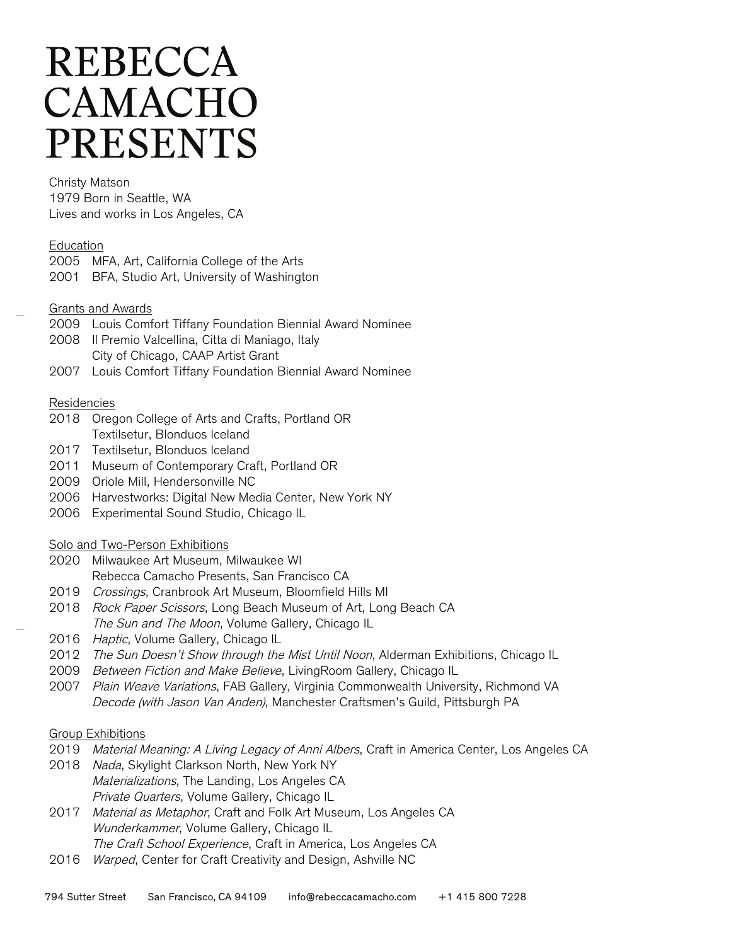# **REBECCA** CAMACHO **PRESENTS**

#### Christy Matson

1979 Born in Seattle, WA Lives and works in Los Angeles, CA

### Education

2005 MFA, Art, California College of the Arts 2001 BFA, Studio Art, University of Washington

### Grants and Awards

- 2009 Louis Comfort Tiffany Foundation Biennial Award Nominee
- 2008 Il Premio Valcellina, Citta di Maniago, Italy City of Chicago, CAAP Artist Grant
- 2007 Louis Comfort Tiffany Foundation Biennial Award Nominee

### Residencies

- 2018 Oregon College of Arts and Crafts, Portland OR Textilsetur, Blonduos Iceland
- 2017 Textilsetur, Blonduos Iceland
- 2011 Museum of Contemporary Craft, Portland OR
- 2009 Oriole Mill, Hendersonville NC
- 2006 Harvestworks: Digital New Media Center, New York NY
- 2006 Experimental Sound Studio, Chicago IL

#### Solo and Two-Person Exhibitions

- 2020 Milwaukee Art Museum, Milwaukee WI Rebecca Camacho Presents, San Francisco CA
- 2019 Crossings, Cranbrook Art Museum, Bloomfield Hills MI
- 2018 Rock Paper Scissors, Long Beach Museum of Art, Long Beach CA The Sun and The Moon, Volume Gallery, Chicago IL
- 2016 Haptic, Volume Gallery, Chicago IL
- 2012 The Sun Doesn't Show through the Mist Until Noon, Alderman Exhibitions, Chicago IL
- 2009 Between Fiction and Make Believe, LivingRoom Gallery, Chicago IL
- 2007 Plain Weave Variations, FAB Gallery, Virginia Commonwealth University, Richmond VA Decode (with Jason Van Anden), Manchester Craftsmen's Guild, Pittsburgh PA

#### Group Exhibitions

- 2019 Material Meaning: A Living Legacy of Anni Albers, Craft in America Center, Los Angeles CA
- 2018 Nada, Skylight Clarkson North, New York NY Materializations, The Landing, Los Angeles CA Private Quarters, Volume Gallery, Chicago IL
- 2017 Material as Metaphor, Craft and Folk Art Museum, Los Angeles CA Wunderkammer, Volume Gallery, Chicago IL The Craft School Experience, Craft in America, Los Angeles CA
- 2016 Warped, Center for Craft Creativity and Design, Ashville NC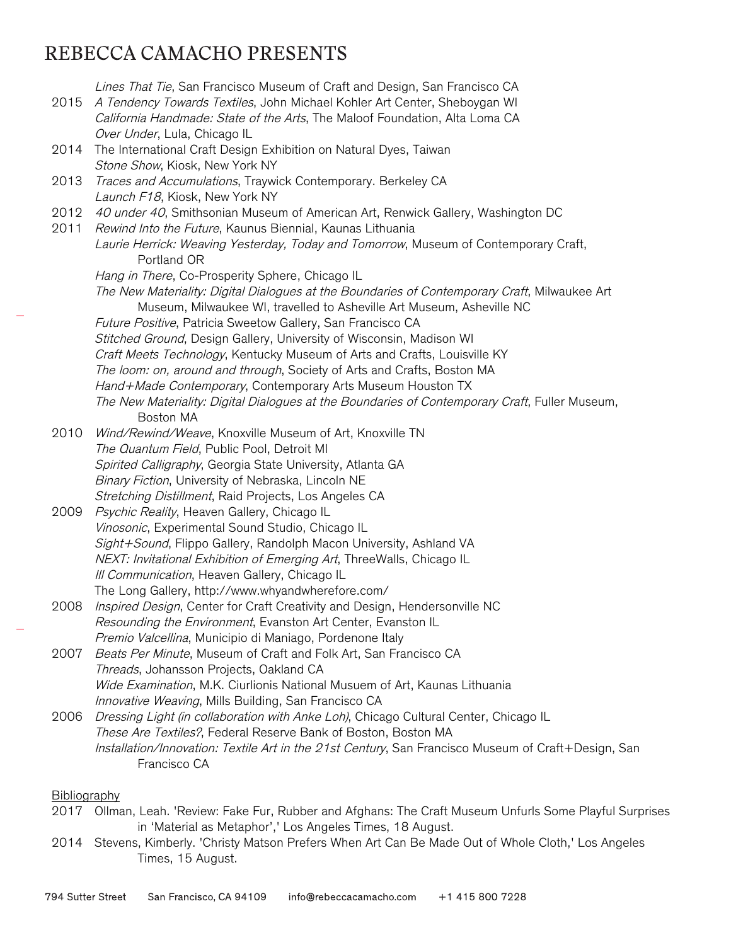## REBECCA CAMACHO PRESENTS

Lines That Tie, San Francisco Museum of Craft and Design, San Francisco CA 2015 A Tendency Towards Textiles, John Michael Kohler Art Center, Sheboygan WI California Handmade: State of the Arts, The Maloof Foundation, Alta Loma CA Over Under, Lula, Chicago IL 2014 The International Craft Design Exhibition on Natural Dyes, Taiwan Stone Show, Kiosk, New York NY 2013 Traces and Accumulations, Traywick Contemporary. Berkeley CA Launch F18, Kiosk, New York NY 2012 40 under 40, Smithsonian Museum of American Art, Renwick Gallery, Washington DC 2011 Rewind Into the Future, Kaunus Biennial, Kaunas Lithuania Laurie Herrick: Weaving Yesterday, Today and Tomorrow, Museum of Contemporary Craft, Portland OR Hang in There, Co-Prosperity Sphere, Chicago IL The New Materiality: Digital Dialogues at the Boundaries of Contemporary Craft, Milwaukee Art Museum, Milwaukee WI, travelled to Asheville Art Museum, Asheville NC Future Positive, Patricia Sweetow Gallery, San Francisco CA Stitched Ground, Design Gallery, University of Wisconsin, Madison WI Craft Meets Technology, Kentucky Museum of Arts and Crafts, Louisville KY The loom: on, around and through, Society of Arts and Crafts, Boston MA Hand+Made Contemporary, Contemporary Arts Museum Houston TX The New Materiality: Digital Dialogues at the Boundaries of Contemporary Craft, Fuller Museum, Boston MA 2010 Wind/Rewind/Weave, Knoxville Museum of Art, Knoxville TN The Quantum Field, Public Pool, Detroit MI Spirited Calligraphy, Georgia State University, Atlanta GA Binary Fiction, University of Nebraska, Lincoln NE Stretching Distillment, Raid Projects, Los Angeles CA 2009 Psychic Reality, Heaven Gallery, Chicago IL Vinosonic, Experimental Sound Studio, Chicago IL Sight+Sound, Flippo Gallery, Randolph Macon University, Ashland VA NEXT: Invitational Exhibition of Emerging Art, ThreeWalls, Chicago IL III Communication, Heaven Gallery, Chicago IL The Long Gallery, http://www.whyandwherefore.com/ 2008 *Inspired Design*, Center for Craft Creativity and Design, Hendersonville NC Resounding the Environment, Evanston Art Center, Evanston IL Premio Valcellina, Municipio di Maniago, Pordenone Italy 2007 Beats Per Minute, Museum of Craft and Folk Art, San Francisco CA Threads, Johansson Projects, Oakland CA Wide Examination, M.K. Ciurlionis National Musuem of Art, Kaunas Lithuania Innovative Weaving, Mills Building, San Francisco CA 2006 *Dressing Light (in collaboration with Anke Loh)*, Chicago Cultural Center, Chicago IL These Are Textiles?, Federal Reserve Bank of Boston, Boston MA Installation/Innovation: Textile Art in the 21st Century, San Francisco Museum of Craft+Design, San Francisco CA

#### Bibliography

- 2017 Ollman, Leah. 'Review: Fake Fur, Rubber and Afghans: The Craft Museum Unfurls Some Playful Surprises in 'Material as Metaphor',' Los Angeles Times, 18 August.
- 2014 Stevens, Kimberly. 'Christy Matson Prefers When Art Can Be Made Out of Whole Cloth,' Los Angeles Times, 15 August.